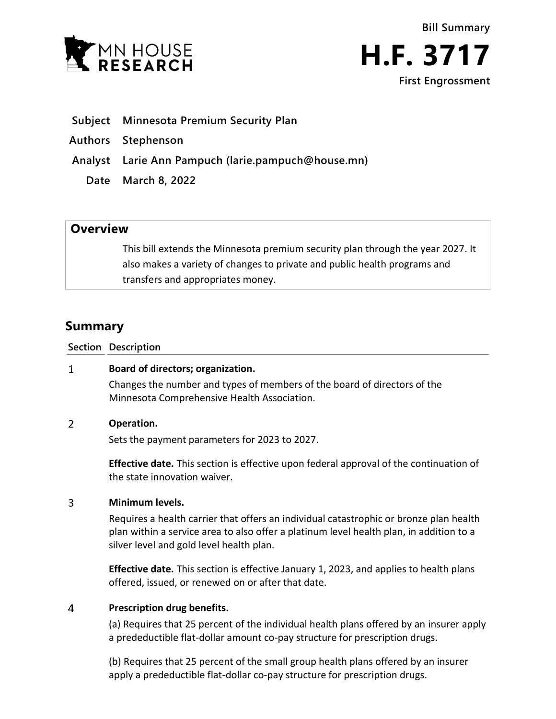



- **Subject Minnesota Premium Security Plan**
- **Authors Stephenson**
- **Analyst Larie Ann Pampuch (larie.pampuch@house.mn)**
	- **Date March 8, 2022**

# **Overview**

This bill extends the Minnesota premium security plan through the year 2027. It also makes a variety of changes to private and public health programs and transfers and appropriates money.

# **Summary**

**Section Description**

#### $\mathbf{1}$ **Board of directors; organization.**

Changes the number and types of members of the board of directors of the Minnesota Comprehensive Health Association.

#### $\overline{2}$ **Operation.**

Sets the payment parameters for 2023 to 2027.

**Effective date.** This section is effective upon federal approval of the continuation of the state innovation waiver.

#### 3 **Minimum levels.**

Requires a health carrier that offers an individual catastrophic or bronze plan health plan within a service area to also offer a platinum level health plan, in addition to a silver level and gold level health plan.

**Effective date.** This section is effective January 1, 2023, and applies to health plans offered, issued, or renewed on or after that date.

#### $\overline{4}$ **Prescription drug benefits.**

(a) Requires that 25 percent of the individual health plans offered by an insurer apply a predeductible flat-dollar amount co-pay structure for prescription drugs.

(b) Requires that 25 percent of the small group health plans offered by an insurer apply a predeductible flat-dollar co-pay structure for prescription drugs.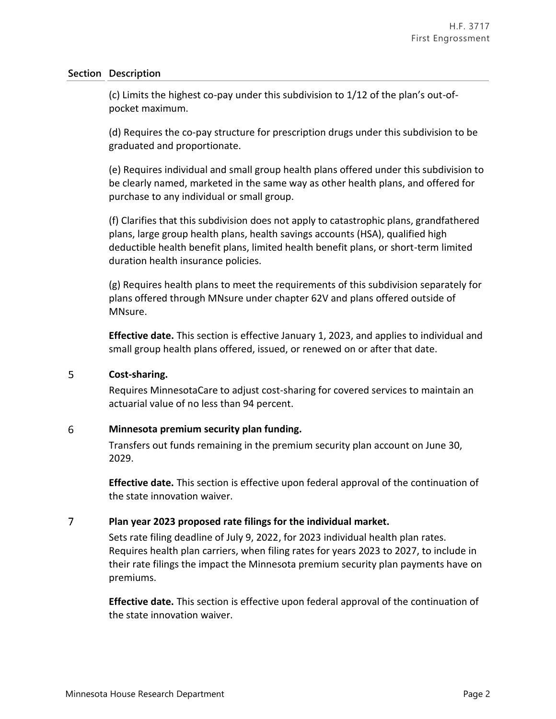### **Section Description**

(c) Limits the highest co-pay under this subdivision to 1/12 of the plan's out-ofpocket maximum.

(d) Requires the co-pay structure for prescription drugs under this subdivision to be graduated and proportionate.

(e) Requires individual and small group health plans offered under this subdivision to be clearly named, marketed in the same way as other health plans, and offered for purchase to any individual or small group.

(f) Clarifies that this subdivision does not apply to catastrophic plans, grandfathered plans, large group health plans, health savings accounts (HSA), qualified high deductible health benefit plans, limited health benefit plans, or short-term limited duration health insurance policies.

(g) Requires health plans to meet the requirements of this subdivision separately for plans offered through MNsure under chapter 62V and plans offered outside of MNsure.

**Effective date.** This section is effective January 1, 2023, and applies to individual and small group health plans offered, issued, or renewed on or after that date.

#### 5 **Cost-sharing.**

Requires MinnesotaCare to adjust cost-sharing for covered services to maintain an actuarial value of no less than 94 percent.

#### 6 **Minnesota premium security plan funding.**

Transfers out funds remaining in the premium security plan account on June 30, 2029.

**Effective date.** This section is effective upon federal approval of the continuation of the state innovation waiver.

#### $\overline{7}$ **Plan year 2023 proposed rate filings for the individual market.**

Sets rate filing deadline of July 9, 2022, for 2023 individual health plan rates. Requires health plan carriers, when filing rates for years 2023 to 2027, to include in their rate filings the impact the Minnesota premium security plan payments have on premiums.

**Effective date.** This section is effective upon federal approval of the continuation of the state innovation waiver.